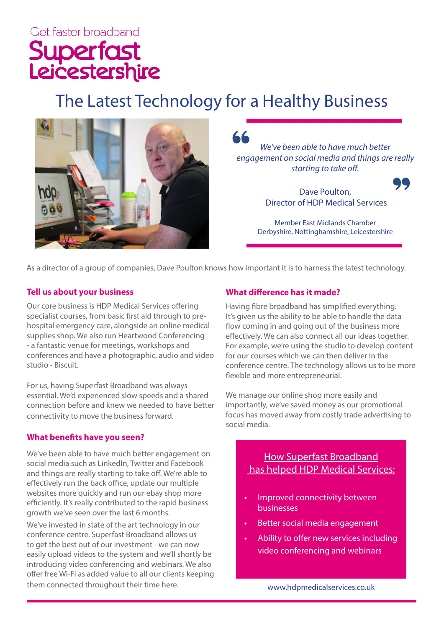# Get faster broadband Superfast<br>Leicestershire

## The Latest Technology for a Healthy Business



*We've been able to have much better engagement on social media and things are really starting to take off.* 

> Dave Poulton, Director of HDP Medical Services

Member East Midlands Chamber Derbyshire, Nottinghamshire, Leicestershire

As a director of a group of companies, Dave Poulton knows how important it is to harness the latest technology.

#### **Tell us about your business**

Our core business is HDP Medical Services offering specialist courses, from basic first aid through to prehospital emergency care, alongside an online medical supplies shop. We also run Heartwood Conferencing - a fantastic venue for meetings, workshops and conferences and have a photographic, audio and video studio - Biscuit.

For us, having Superfast Broadband was always essential. We'd experienced slow speeds and a shared connection before and knew we needed to have better connectivity to move the business forward.

#### **What benefits have you seen?**

We've been able to have much better engagement on social media such as LinkedIn, Twitter and Facebook and things are really starting to take off. We're able to effectively run the back office, update our multiple websites more quickly and run our ebay shop more efficiently. It's really contributed to the rapid business growth we've seen over the last 6 months.

We've invested in state of the art technology in our conference centre. Superfast Broadband allows us to get the best out of our investment - we can now easily upload videos to the system and we'll shortly be introducing video conferencing and webinars. We also offer free Wi-Fi as added value to all our clients keeping them connected throughout their time here.

#### **What difference has it made?**

Having fibre broadband has simplified everything. It's given us the ability to be able to handle the data flow coming in and going out of the business more effectively. We can also connect all our ideas together. For example, we're using the studio to develop content for our courses which we can then deliver in the conference centre. The technology allows us to be more flexible and more entrepreneurial.

We manage our online shop more easily and importantly, we've saved money as our promotional focus has moved away from costly trade advertising to social media.

#### How Superfast Broadband has helped HDP Medical Services:

- Improved connectivity between businesses
- Better social media engagement
- Ability to offer new services including video conferencing and webinars

www.hdpmedicalservices.co.uk